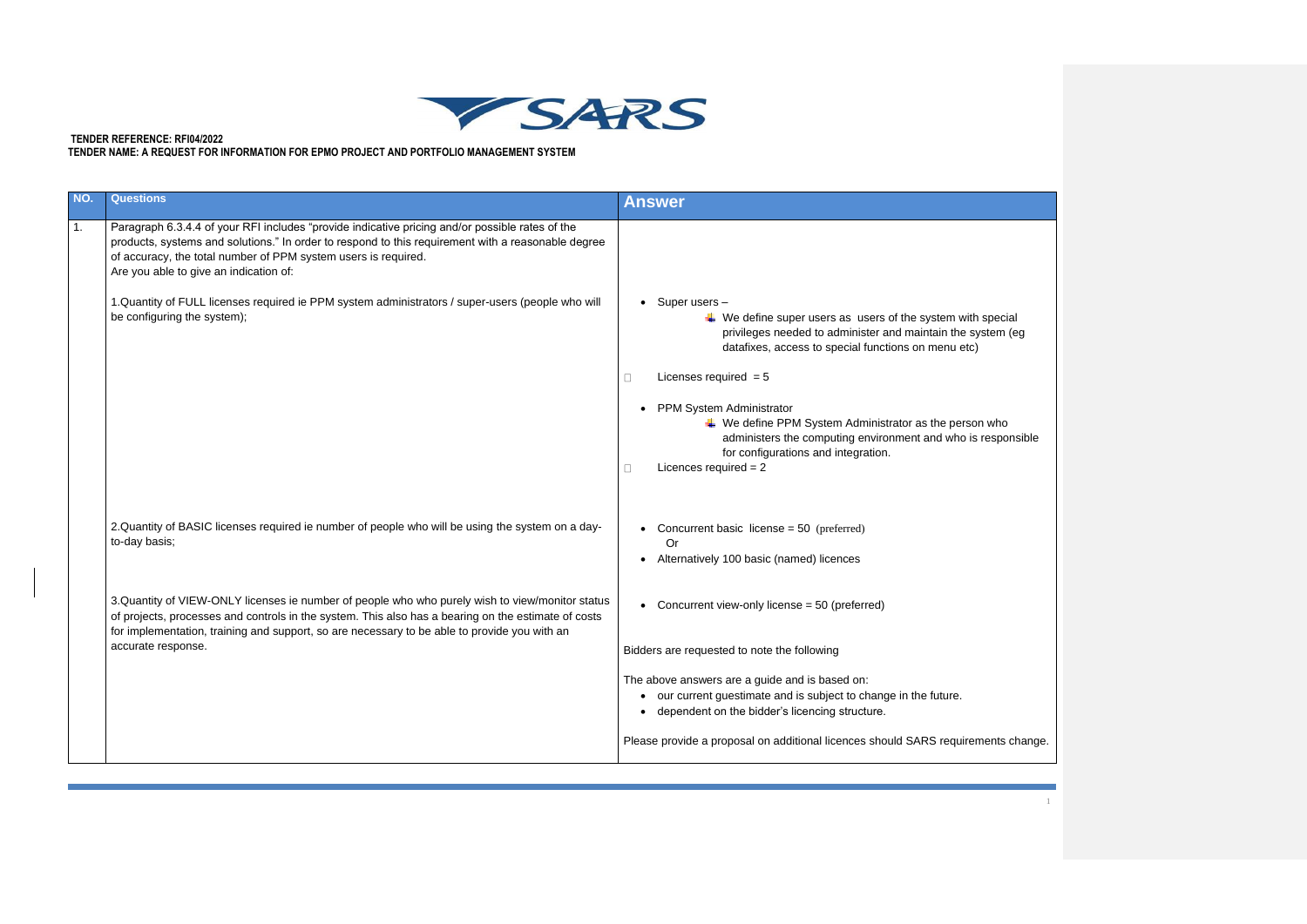

## **TENDER REFERENCE: RFI04/2022 TENDER NAME: A REQUEST FOR INFORMATION FOR EPMO PROJECT AND PORTFOLIO MANAGEMENT SYSTEM**

| ่ special<br>ystem (eg<br>١ |  |
|-----------------------------|--|
| n who<br>responsible        |  |
|                             |  |
|                             |  |
|                             |  |
|                             |  |
| ments change.               |  |
|                             |  |
| $\mathbf{1}$                |  |

| NO. | <b>Questions</b>                                                                                                                                                                                                                                                                                                  | <b>Answer</b>                                                                                                                                                                                                                                               |
|-----|-------------------------------------------------------------------------------------------------------------------------------------------------------------------------------------------------------------------------------------------------------------------------------------------------------------------|-------------------------------------------------------------------------------------------------------------------------------------------------------------------------------------------------------------------------------------------------------------|
| 1.  | Paragraph 6.3.4.4 of your RFI includes "provide indicative pricing and/or possible rates of the<br>products, systems and solutions." In order to respond to this requirement with a reasonable degree<br>of accuracy, the total number of PPM system users is required.<br>Are you able to give an indication of: |                                                                                                                                                                                                                                                             |
|     | 1. Quantity of FULL licenses required ie PPM system administrators / super-users (people who will<br>be configuring the system);                                                                                                                                                                                  | $\bullet$ Super users $-$<br>$\downarrow$ We define super users as users of the system with special<br>privileges needed to administer and maintain the system (eg<br>datafixes, access to special functions on menu etc)                                   |
|     |                                                                                                                                                                                                                                                                                                                   | Licenses required $= 5$                                                                                                                                                                                                                                     |
|     |                                                                                                                                                                                                                                                                                                                   | • PPM System Administrator<br>$\ddot{*}$ We define PPM System Administrator as the person who<br>administers the computing environment and who is responsible<br>for configurations and integration.<br>Licences required $= 2$                             |
|     | 2. Quantity of BASIC licenses required ie number of people who will be using the system on a day-<br>to-day basis;                                                                                                                                                                                                | • Concurrent basic license = $50$ (preferred)<br>Or<br>• Alternatively 100 basic (named) licences                                                                                                                                                           |
|     | 3. Quantity of VIEW-ONLY licenses ie number of people who who purely wish to view/monitor status<br>of projects, processes and controls in the system. This also has a bearing on the estimate of costs<br>for implementation, training and support, so are necessary to be able to provide you with an           | • Concurrent view-only license $= 50$ (preferred)                                                                                                                                                                                                           |
|     | accurate response.                                                                                                                                                                                                                                                                                                | Bidders are requested to note the following                                                                                                                                                                                                                 |
|     |                                                                                                                                                                                                                                                                                                                   | The above answers are a guide and is based on:<br>• our current guestimate and is subject to change in the future.<br>• dependent on the bidder's licencing structure.<br>Please provide a proposal on additional licences should SARS requirements change. |
|     |                                                                                                                                                                                                                                                                                                                   |                                                                                                                                                                                                                                                             |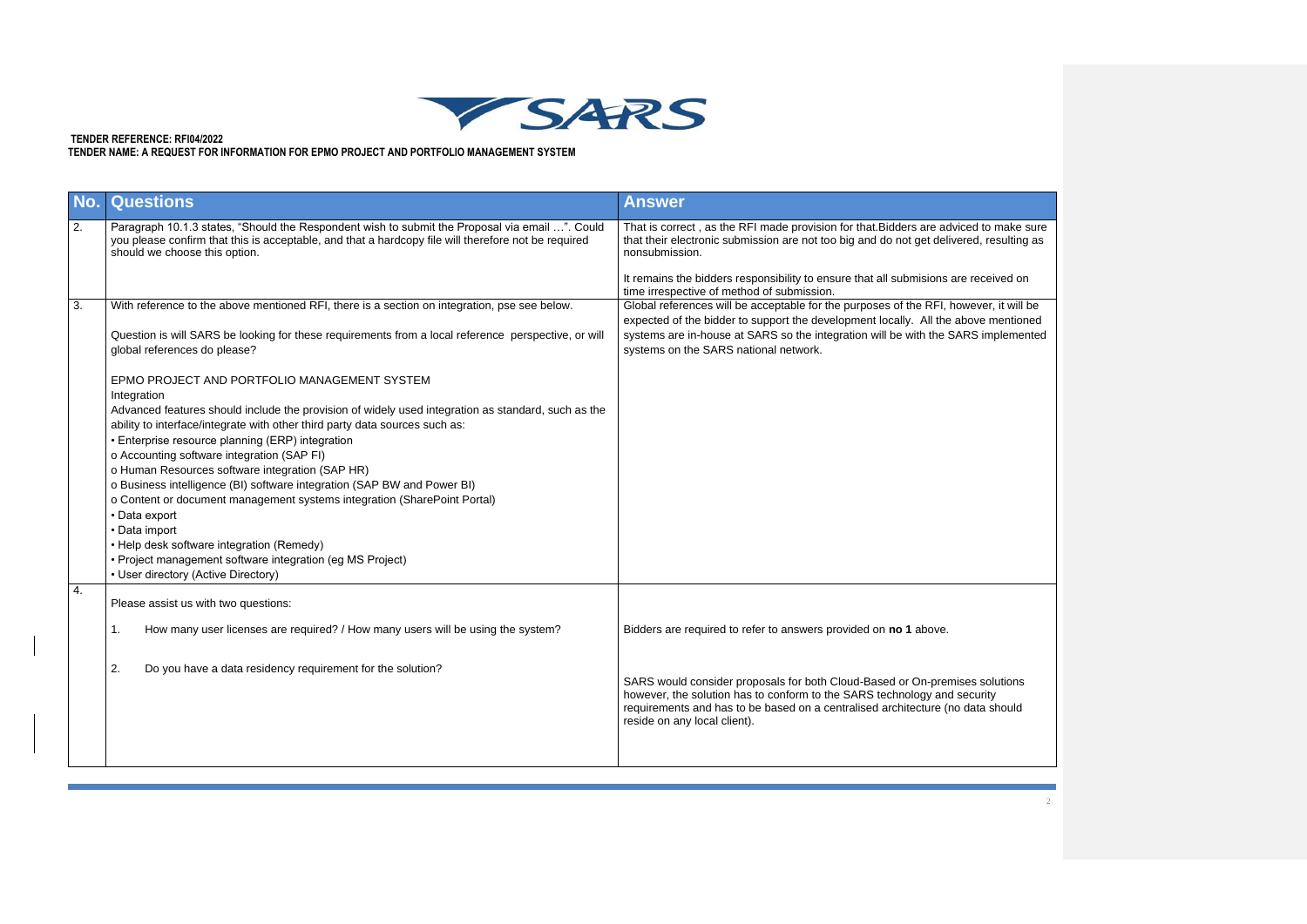

## **TENDER REFERENCE: RFI04/2022 TENDER NAME: A REQUEST FOR INFORMATION FOR EPMO PROJECT AND PORTFOLIO MANAGEMENT SYSTEM**

| to make sure   |
|----------------|
| resulting as   |
|                |
|                |
| ceived on      |
|                |
| er, it will be |
| e mentioned    |
| implemented    |
|                |
|                |
|                |
|                |
|                |
|                |
|                |
|                |
|                |
|                |
|                |
|                |
|                |
|                |
|                |
|                |
|                |
|                |
|                |
|                |
|                |
|                |
|                |
|                |
|                |
|                |
| solutions      |
| rity           |
| a should       |
|                |
|                |
|                |
|                |
|                |
|                |
|                |
| $\overline{c}$ |
|                |
|                |

| No. | <b>Questions</b>                                                                                                                                                                                                                                                                                                                                                                                                                                                                                                                                                                                                                                                                                                                                | <b>Answer</b>                                                                                                                                                                                                                                                                                             |
|-----|-------------------------------------------------------------------------------------------------------------------------------------------------------------------------------------------------------------------------------------------------------------------------------------------------------------------------------------------------------------------------------------------------------------------------------------------------------------------------------------------------------------------------------------------------------------------------------------------------------------------------------------------------------------------------------------------------------------------------------------------------|-----------------------------------------------------------------------------------------------------------------------------------------------------------------------------------------------------------------------------------------------------------------------------------------------------------|
| 2.  | Paragraph 10.1.3 states, "Should the Respondent wish to submit the Proposal via email ". Could<br>you please confirm that this is acceptable, and that a hardcopy file will therefore not be required<br>should we choose this option.                                                                                                                                                                                                                                                                                                                                                                                                                                                                                                          | That is correct, as the RFI made provision for that. Bidders are adviced to make sure<br>that their electronic submission are not too big and do not get delivered, resulting as<br>nonsubmission.                                                                                                        |
|     |                                                                                                                                                                                                                                                                                                                                                                                                                                                                                                                                                                                                                                                                                                                                                 | It remains the bidders responsibility to ensure that all submisions are received on<br>time irrespective of method of submission.                                                                                                                                                                         |
| 3.  | With reference to the above mentioned RFI, there is a section on integration, pse see below.<br>Question is will SARS be looking for these requirements from a local reference perspective, or will<br>global references do please?                                                                                                                                                                                                                                                                                                                                                                                                                                                                                                             | Global references will be acceptable for the purposes of the RFI, however, it will be<br>expected of the bidder to support the development locally. All the above mentioned<br>systems are in-house at SARS so the integration will be with the SARS implemented<br>systems on the SARS national network. |
|     | EPMO PROJECT AND PORTFOLIO MANAGEMENT SYSTEM<br>Integration<br>Advanced features should include the provision of widely used integration as standard, such as the<br>ability to interface/integrate with other third party data sources such as:<br>• Enterprise resource planning (ERP) integration<br>o Accounting software integration (SAP FI)<br>o Human Resources software integration (SAP HR)<br>o Business intelligence (BI) software integration (SAP BW and Power BI)<br>o Content or document management systems integration (SharePoint Portal)<br>• Data export<br>• Data import<br>• Help desk software integration (Remedy)<br>• Project management software integration (eg MS Project)<br>• User directory (Active Directory) |                                                                                                                                                                                                                                                                                                           |
| 4.  | Please assist us with two questions:                                                                                                                                                                                                                                                                                                                                                                                                                                                                                                                                                                                                                                                                                                            |                                                                                                                                                                                                                                                                                                           |
|     | How many user licenses are required? / How many users will be using the system?<br>1.                                                                                                                                                                                                                                                                                                                                                                                                                                                                                                                                                                                                                                                           | Bidders are required to refer to answers provided on no 1 above.                                                                                                                                                                                                                                          |
|     | 2.<br>Do you have a data residency requirement for the solution?                                                                                                                                                                                                                                                                                                                                                                                                                                                                                                                                                                                                                                                                                | SARS would consider proposals for both Cloud-Based or On-premises solutions<br>however, the solution has to conform to the SARS technology and security<br>requirements and has to be based on a centralised architecture (no data should<br>reside on any local client).                                 |